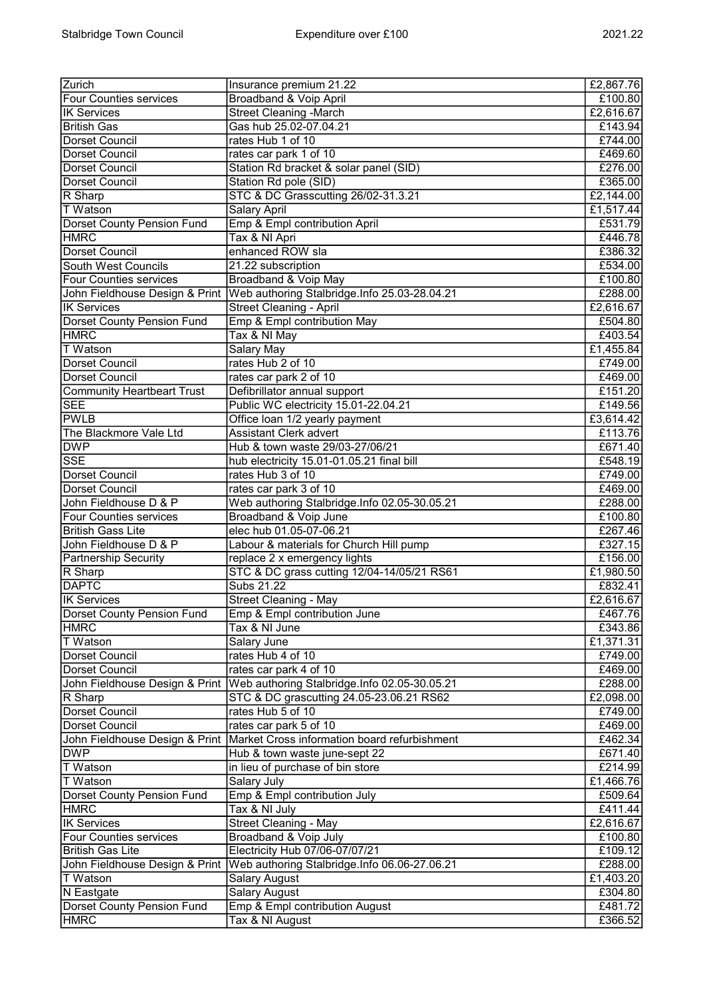| Zurich                            | Insurance premium 21.22                                                        | £2,867.76 |
|-----------------------------------|--------------------------------------------------------------------------------|-----------|
| <b>Four Counties services</b>     | <b>Broadband &amp; Voip April</b>                                              | £100.80   |
| <b>IK Services</b>                | <b>Street Cleaning -March</b>                                                  | £2,616.67 |
| <b>British Gas</b>                | Gas hub 25.02-07.04.21                                                         | £143.94   |
| Dorset Council                    |                                                                                |           |
|                                   | rates Hub 1 of 10                                                              | £744.00   |
| Dorset Council                    | rates car park 1 of 10                                                         | £469.60   |
| Dorset Council                    | Station Rd bracket & solar panel (SID)                                         | £276.00   |
| Dorset Council                    | Station Rd pole (SID)                                                          | £365.00   |
| R Sharp                           | STC & DC Grasscutting 26/02-31.3.21                                            | £2,144.00 |
| <b>T</b> Watson                   | <b>Salary April</b>                                                            | £1,517.44 |
| <b>Dorset County Pension Fund</b> | Emp & Empl contribution April                                                  | £531.79   |
| <b>HMRC</b>                       | Tax & NI Apri                                                                  | £446.78   |
| Dorset Council                    | enhanced ROW sla                                                               | £386.32   |
| South West Councils               | 21.22 subscription                                                             | £534.00   |
| <b>Four Counties services</b>     | Broadband & Voip May                                                           | £100.80   |
|                                   | John Fieldhouse Design & Print   Web authoring Stalbridge. Info 25.03-28.04.21 | £288.00   |
| <b>IK Services</b>                |                                                                                |           |
|                                   | <b>Street Cleaning - April</b>                                                 | £2,616.67 |
| <b>Dorset County Pension Fund</b> | Emp & Empl contribution May                                                    | £504.80   |
| <b>HMRC</b>                       | Tax & NI May                                                                   | £403.54   |
| T Watson                          | <b>Salary May</b>                                                              | £1,455.84 |
| Dorset Council                    | rates Hub 2 of 10                                                              | £749.00   |
| Dorset Council                    | rates car park 2 of 10                                                         | £469.00   |
| <b>Community Heartbeart Trust</b> | Defibrillator annual support                                                   | £151.20   |
| SEE                               | Public WC electricity 15.01-22.04.21                                           | £149.56   |
| <b>PWLB</b>                       | Office loan 1/2 yearly payment                                                 | £3,614.42 |
| The Blackmore Vale Ltd            | <b>Assistant Clerk advert</b>                                                  | £113.76   |
| <b>DWP</b>                        | Hub & town waste 29/03-27/06/21                                                | £671.40   |
| <b>SSE</b>                        | hub electricity 15.01-01.05.21 final bill                                      | £548.19   |
| Dorset Council                    | rates Hub 3 of 10                                                              | £749.00   |
| <b>Dorset Council</b>             | rates car park 3 of 10                                                         |           |
|                                   |                                                                                | £469.00   |
| John Fieldhouse D & P             | Web authoring Stalbridge.Info 02.05-30.05.21                                   | £288.00   |
| <b>Four Counties services</b>     | Broadband & Voip June                                                          | £100.80   |
| <b>British Gass Lite</b>          | elec hub 01.05-07-06.21                                                        | £267.46   |
| John Fieldhouse D & P             | Labour & materials for Church Hill pump                                        | £327.15   |
| <b>Partnership Security</b>       | replace 2 x emergency lights                                                   | £156.00   |
| R Sharp                           | STC & DC grass cutting 12/04-14/05/21 RS61                                     | £1,980.50 |
| <b>DAPTC</b>                      | Subs 21.22                                                                     | £832.41   |
| <b>IK Services</b>                | Street Cleaning - May                                                          | £2,616.67 |
| Dorset County Pension Fund        | Emp & Empl contribution June                                                   | £467.76   |
| <b>HMRC</b>                       | Tax & NI June                                                                  | £343.86   |
| <b>T</b> Watson                   | Salary June                                                                    | £1,371.31 |
| Dorset Council                    | rates Hub 4 of 10                                                              | £749.00   |
| Dorset Council                    | rates car park 4 of 10                                                         | £469.00   |
|                                   | John Fieldhouse Design & Print   Web authoring Stalbridge.Info 02.05-30.05.21  | £288.00   |
|                                   |                                                                                |           |
| R Sharp                           | STC & DC grascutting 24.05-23.06.21 RS62                                       | £2,098.00 |
| <b>Dorset Council</b>             | rates Hub 5 of 10                                                              | £749.00   |
| Dorset Council                    | rates car park 5 of 10                                                         | £469.00   |
| John Fieldhouse Design & Print    | Market Cross information board refurbishment                                   | £462.34   |
| <b>DWP</b>                        | Hub & town waste june-sept 22                                                  | £671.40   |
| T Watson                          | in lieu of purchase of bin store                                               | E214.99   |
| T Watson                          | Salary July                                                                    | £1,466.76 |
| Dorset County Pension Fund        | Emp & Empl contribution July                                                   | £509.64   |
| <b>HMRC</b>                       | Tax & NI July                                                                  | £411.44   |
| <b>IK Services</b>                | <b>Street Cleaning - May</b>                                                   | £2,616.67 |
| <b>Four Counties services</b>     | Broadband & Voip July                                                          | £100.80   |
| <b>British Gas Lite</b>           | Electricity Hub 07/06-07/07/21                                                 | £109.12   |
| John Fieldhouse Design & Print    | Web authoring Stalbridge.Info 06.06-27.06.21                                   | £288.00   |
| <b>T</b> Watson                   |                                                                                |           |
|                                   | Salary August                                                                  | £1,403.20 |
| N Eastgate                        | <b>Salary August</b>                                                           | £304.80   |
| Dorset County Pension Fund        | Emp & Empl contribution August                                                 | £481.72   |
| <b>HMRC</b>                       | Tax & NI August                                                                | £366.52   |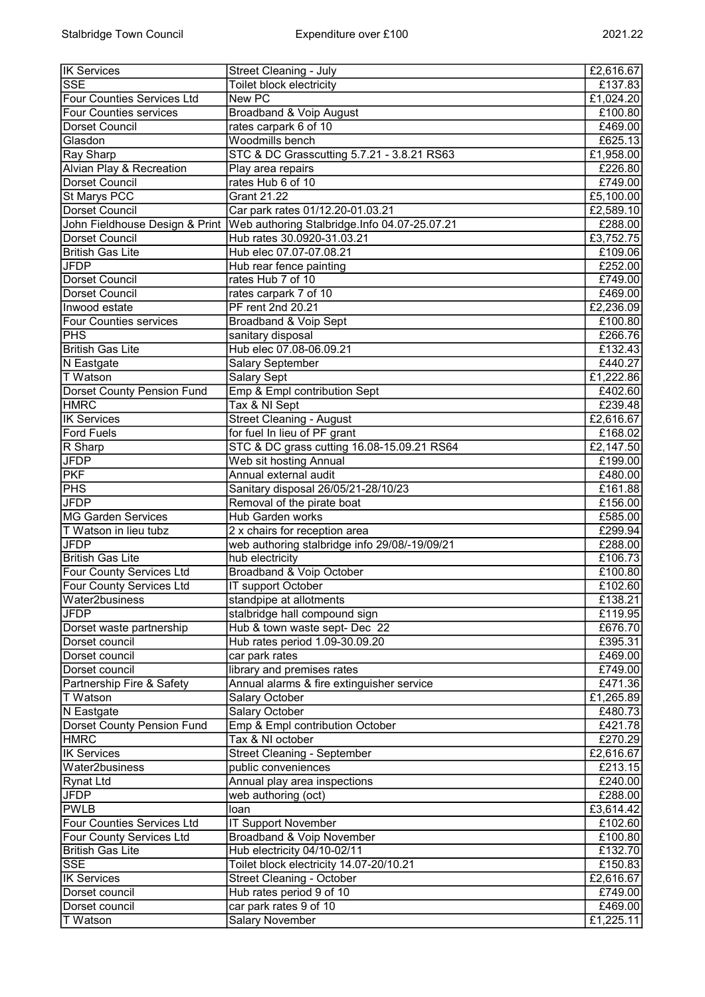| <b>IK Services</b>                | Street Cleaning - July                        | £2,616.67 |
|-----------------------------------|-----------------------------------------------|-----------|
| <b>SSE</b>                        | Toilet block electricity                      | £137.83   |
| Four Counties Services Ltd        | <b>New PC</b>                                 | £1,024.20 |
| <b>Four Counties services</b>     | Broadband & Voip August                       | £100.80   |
| Dorset Council                    | rates carpark 6 of 10                         | £469.00   |
| Glasdon                           | Woodmills bench                               | £625.13   |
| Ray Sharp                         | STC & DC Grasscutting 5.7.21 - 3.8.21 RS63    | £1,958.00 |
| Alvian Play & Recreation          | Play area repairs                             | £226.80   |
| Dorset Council                    | rates Hub 6 of 10                             | £749.00   |
| <b>St Marys PCC</b>               | <b>Grant 21.22</b>                            | £5,100.00 |
| Dorset Council                    | Car park rates 01/12.20-01.03.21              | £2,589.10 |
| John Fieldhouse Design & Print    | Web authoring Stalbridge.Info 04.07-25.07.21  | £288.00   |
| Dorset Council                    | Hub rates 30.0920-31.03.21                    | £3,752.75 |
| <b>British Gas Lite</b>           | Hub elec 07.07-07.08.21                       | £109.06   |
| <b>JFDP</b>                       | Hub rear fence painting                       | £252.00   |
| Dorset Council                    | rates Hub 7 of 10                             | £749.00   |
| Dorset Council                    | rates carpark 7 of 10                         | £469.00   |
| Inwood estate                     | PF rent 2nd 20.21                             | £2,236.09 |
| <b>Four Counties services</b>     | Broadband & Voip Sept                         | £100.80   |
| PHS                               |                                               | £266.76   |
| <b>British Gas Lite</b>           | sanitary disposal<br>Hub elec 07.08-06.09.21  | £132.43   |
|                                   | <b>Salary September</b>                       | £440.27   |
| N Eastgate<br><b>T</b> Watson     | <b>Salary Sept</b>                            | £1,222.86 |
|                                   |                                               |           |
| Dorset County Pension Fund        | Emp & Empl contribution Sept                  | £402.60   |
| <b>HMRC</b>                       | Tax & NI Sept                                 | £239.48   |
| <b>IK Services</b>                | <b>Street Cleaning - August</b>               | £2,616.67 |
| <b>Ford Fuels</b>                 | for fuel In lieu of PF grant                  | £168.02   |
| R Sharp                           | STC & DC grass cutting 16.08-15.09.21 RS64    | £2,147.50 |
| <b>JFDP</b>                       | Web sit hosting Annual                        | £199.00   |
| PKF                               | Annual external audit                         | £480.00   |
| PHS                               | Sanitary disposal 26/05/21-28/10/23           | £161.88   |
| <b>JFDP</b>                       | Removal of the pirate boat                    | £156.00   |
| MG Garden Services                | Hub Garden works                              | £585.00   |
| T Watson in lieu tubz             | 2 x chairs for reception area                 | £299.94   |
| <b>JFDP</b>                       | web authoring stalbridge info 29/08/-19/09/21 | £288.00   |
| <b>British Gas Lite</b>           | hub electricity                               | £106.73   |
| Four County Services Ltd          | Broadband & Voip October                      | £100.80   |
| <b>Four County Services Ltd</b>   | <b>IT support October</b>                     | £102.60   |
| Water2business                    | standpipe at allotments                       | £138.21   |
| <b>JFDP</b>                       | stalbridge hall compound sign                 | £119.95   |
| Dorset waste partnership          | Hub & town waste sept- Dec 22                 | £676.70   |
| Dorset council                    | Hub rates period 1.09-30.09.20                | £395.31   |
| Dorset council                    | car park rates                                | £469.00   |
| Dorset council                    | library and premises rates                    | £749.00   |
| Partnership Fire & Safety         | Annual alarms & fire extinguisher service     | £471.36   |
| T Watson                          | Salary October                                | £1,265.89 |
| N Eastgate                        | Salary October                                | £480.73   |
| <b>Dorset County Pension Fund</b> | Emp & Empl contribution October               | £421.78   |
| <b>HMRC</b>                       | Tax & NI october                              | £270.29   |
| <b>IK Services</b>                | <b>Street Cleaning - September</b>            | £2,616.67 |
| Water2business                    | public conveniences                           | £213.15   |
| Rynat Ltd                         | Annual play area inspections                  | £240.00   |
| <b>JFDP</b>                       | web authoring (oct)                           | £288.00   |
| <b>PWLB</b>                       | loan                                          | £3,614.42 |
| Four Counties Services Ltd        | <b>IT Support November</b>                    | £102.60   |
| <b>Four County Services Ltd</b>   | <b>Broadband &amp; Voip November</b>          | £100.80   |
| <b>British Gas Lite</b>           | Hub electricity 04/10-02/11                   | £132.70   |
| <b>SSE</b>                        | Toilet block electricity 14.07-20/10.21       | £150.83   |
| <b>IK Services</b>                | <b>Street Cleaning - October</b>              | £2,616.67 |
| Dorset council                    | Hub rates period 9 of 10                      | £749.00   |
| Dorset council                    | car park rates 9 of 10                        | £469.00   |
| <b>T</b> Watson                   | <b>Salary November</b>                        | E1,225.11 |
|                                   |                                               |           |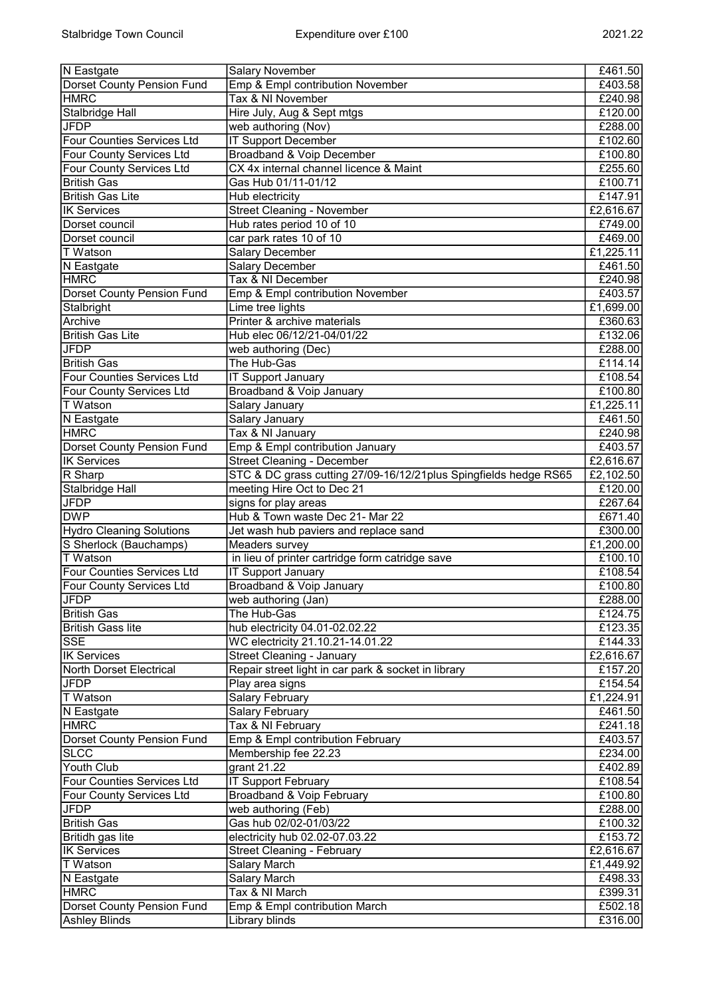| N Eastgate                                                | <b>Salary November</b>                                           | £461.50            |
|-----------------------------------------------------------|------------------------------------------------------------------|--------------------|
| <b>Dorset County Pension Fund</b>                         | Emp & Empl contribution November                                 | £403.58            |
| <b>HMRC</b>                                               | Tax & NI November                                                | £240.98            |
| Stalbridge Hall                                           | Hire July, Aug & Sept mtgs                                       | £120.00            |
| <b>JFDP</b>                                               | web authoring (Nov)                                              | £288.00            |
| Four Counties Services Ltd                                | <b>IT Support December</b>                                       | £102.60            |
| Four County Services Ltd                                  | Broadband & Voip December                                        | £100.80            |
| Four County Services Ltd                                  | CX 4x internal channel licence & Maint                           | £255.60            |
| <b>British Gas</b>                                        | Gas Hub 01/11-01/12                                              | £100.71            |
| <b>British Gas Lite</b>                                   | Hub electricity                                                  | £147.91            |
| <b>IK Services</b>                                        | <b>Street Cleaning - November</b>                                | £2,616.67          |
| Dorset council                                            | Hub rates period 10 of 10                                        | £749.00            |
| Dorset council                                            | car park rates 10 of 10                                          | £469.00            |
| T Watson                                                  | <b>Salary December</b>                                           | £1,225.11          |
| N Eastgate                                                | <b>Salary December</b>                                           | £461.50            |
| <b>HMRC</b>                                               | Tax & NI December                                                | £240.98            |
| <b>Dorset County Pension Fund</b>                         | Emp & Empl contribution November                                 | £403.57            |
| Stalbright                                                | Lime tree lights                                                 | £1,699.00          |
| Archive                                                   | Printer & archive materials                                      | £360.63            |
| <b>British Gas Lite</b>                                   | Hub elec 06/12/21-04/01/22                                       | £132.06            |
| <b>JFDP</b>                                               | web authoring (Dec)                                              | £288.00            |
| <b>British Gas</b>                                        | The Hub-Gas                                                      | £114.14            |
| <b>Four Counties Services Ltd</b>                         | <b>IT Support January</b>                                        | £108.54            |
| <b>Four County Services Ltd</b>                           | Broadband & Voip January                                         | £100.80            |
| T Watson                                                  | Salary January                                                   | £1,225.11          |
| N Eastgate                                                | Salary January                                                   | £461.50            |
| <b>HMRC</b>                                               | Tax & NI January                                                 | £240.98            |
| <b>Dorset County Pension Fund</b>                         | Emp & Empl contribution January                                  | £403.57            |
| <b>IK Services</b>                                        | <b>Street Cleaning - December</b>                                | £2,616.67          |
| R Sharp                                                   | STC & DC grass cutting 27/09-16/12/21plus Spingfields hedge RS65 | £2,102.50          |
| Stalbridge Hall                                           | meeting Hire Oct to Dec 21                                       | £120.00            |
| <b>JFDP</b>                                               | signs for play areas                                             | £267.64            |
| <b>DWP</b>                                                | Hub & Town waste Dec 21- Mar 22                                  | £671.40            |
| <b>Hydro Cleaning Solutions</b>                           | Jet wash hub paviers and replace sand                            | £300.00            |
| S Sherlock (Bauchamps)                                    | <b>Meaders survey</b>                                            | £1,200.00          |
| T Watson                                                  | in lieu of printer cartridge form catridge save                  | £100.10            |
| <b>Four Counties Services Ltd</b>                         | <b>IT Support January</b>                                        | £108.54            |
| <b>Four County Services Ltd</b>                           | Broadband & Voip January                                         | £100.80            |
| <b>JFDP</b>                                               | web authoring (Jan)                                              | £288.00            |
| <b>British Gas</b>                                        | The Hub-Gas                                                      | £124.75            |
| <b>British Gass lite</b>                                  | hub electricity 04.01-02.02.22                                   | £123.35            |
| <b>SSE</b>                                                | WC electricity 21.10.21-14.01.22                                 | £144.33            |
| <b>IK Services</b>                                        | <b>Street Cleaning - January</b>                                 | £2,616.67          |
| North Dorset Electrical                                   | Repair street light in car park & socket in library              | £157.20            |
| JFDP                                                      | Play area signs                                                  | £154.54            |
| <b>T</b> Watson                                           | <b>Salary February</b>                                           | £1,224.91          |
| N Eastgate                                                | Salary February                                                  | £461.50            |
| <b>HMRC</b>                                               | Tax & NI February                                                | £241.18            |
| Dorset County Pension Fund                                | Emp & Empl contribution February                                 | £403.57            |
| <b>SLCC</b>                                               | Membership fee 22.23                                             | £234.00            |
| Youth Club                                                | grant $21.22$                                                    | £402.89            |
| Four Counties Services Ltd                                | <b>IT Support February</b>                                       | £108.54            |
| Four County Services Ltd                                  | <b>Broadband &amp; Voip February</b>                             | £100.80            |
| <b>JFDP</b>                                               | web authoring (Feb)                                              | £288.00            |
| <b>British Gas</b>                                        | Gas hub 02/02-01/03/22                                           | £100.32            |
| Britidh gas lite                                          | electricity hub 02.02-07.03.22                                   | £153.72            |
| <b>IK Services</b>                                        | <b>Street Cleaning - February</b>                                | £2,616.67          |
| T Watson                                                  | <b>Salary March</b>                                              | £1,449.92          |
| N Eastgate                                                | Salary March                                                     | £498.33            |
| <b>HMRC</b>                                               |                                                                  |                    |
|                                                           | Tax & NI March                                                   | £399.31            |
| <b>Dorset County Pension Fund</b><br><b>Ashley Blinds</b> | Emp & Empl contribution March<br>Library blinds                  | £502.18<br>£316.00 |